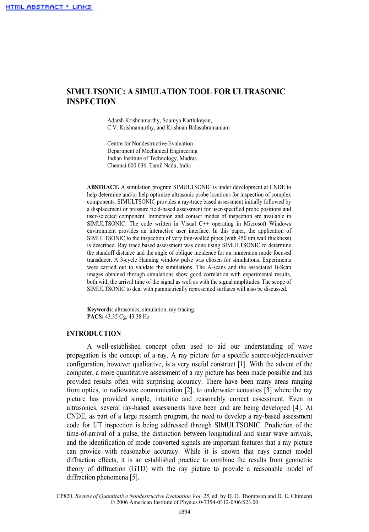# **SIMULTSONIC: A SIMULATION TOOL FOR ULTRASONIC INSPECTION**

Adarsh Krishnamurthy, Soumya Karthikeyan, C.V. Krishnamurthy, and Krishnan Balasubramaniam

Centre for Nondestructive Evaluation Department of Mechanical Engineering Indian Institute of Technology, Madras Chennai 600 036, Tamil Nadu, India

**ABSTRACT.** A simulation program SIMULTSONIC is under development at CNDE to help determine and/or help optimize ultrasonic probe locations for inspection of complex components. SIMULTSONIC provides a ray-trace based assessment initially followed by a displacement or pressure field-based assessment for user-specified probe positions and user-selected component. Immersion and contact modes of inspection are available in SIMULTSONIC. The code written in Visual C++ operating in Microsoft Windows environment provides an interactive user interface. In this paper, the application of SIMULTSONIC to the inspection of very thin-walled pipes (with 450 um wall thickness) is described. Ray trace based assessment was done using SIMULTSONIC to determine the standoff distance and the angle of oblique incidence for an immersion mode focused transducer. A 3-cycle Hanning window pulse was chosen for simulations. Experiments were carried out to validate the simulations. The A-scans and the associated B-Scan images obtained through simulations show good correlation with experimental results, both with the arrival time of the signal as well as with the signal amplitudes. The scope of SIMULTSONIC to deal with parametrically represented surfaces will also be discussed.

**Keywords**: ultrasonics, simulation, ray-tracing. **PACS:** 43.35 Cg, 43.38 Hz

### **INTRODUCTION**

A well-established concept often used to aid our understanding of wave propagation is the concept of a ray. A ray picture for a specific source-object-receiver configuration, however qualitative, is a very useful construct [1]. With the advent of the computer, a more quantitative assessment of a ray picture has been made possible and has provided results often with surprising accuracy. There have been many areas ranging from optics, to radiowave communication [2], to underwater acoustics [3] where the ray picture has provided simple, intuitive and reasonably correct assessment. Even in ultrasonics, several ray-based assessments have been and are being developed [4]. At CNDE, as part of a large research program, the need to develop a ray-based assessment code for UT inspection is being addressed through SIMULTSONIC. Prediction of the time-of-arrival of a pulse, the distinction between longitudinal and shear wave arrivals, and the identification of mode converted signals are important features that a ray picture can provide with reasonable accuracy. While it is known that rays cannot model diffraction effects, it is an established practice to combine the results from geometric theory of diffraction (GTD) with the ray picture to provide a reasonable model of diffraction phenomena [5].

CP820, *Review of Quantitative Nondestructive Evaluation Vol. 25,* ed. by D. O. Thompson and D. E. Chimenti © 2006 American Institute of Physics 0-7354-0312-0/06/\$23.00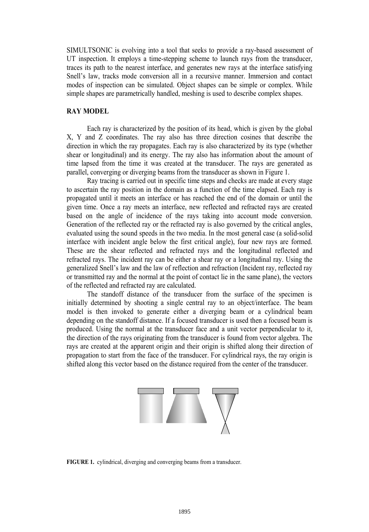SIMULTSONIC is evolving into a tool that seeks to provide a ray-based assessment of UT inspection. It employs a time-stepping scheme to launch rays from the transducer, traces its path to the nearest interface, and generates new rays at the interface satisfying Snell's law, tracks mode conversion all in a recursive manner. Immersion and contact modes of inspection can be simulated. Object shapes can be simple or complex. While simple shapes are parametrically handled, meshing is used to describe complex shapes.

# **RAY MODEL**

Each ray is characterized by the position of its head, which is given by the global X, Y and Z coordinates. The ray also has three direction cosines that describe the direction in which the ray propagates. Each ray is also characterized by its type (whether shear or longitudinal) and its energy. The ray also has information about the amount of time lapsed from the time it was created at the transducer. The rays are generated as parallel, converging or diverging beams from the transducer as shown in Figure 1.

Ray tracing is carried out in specific time steps and checks are made at every stage to ascertain the ray position in the domain as a function of the time elapsed. Each ray is propagated until it meets an interface or has reached the end of the domain or until the given time. Once a ray meets an interface, new reflected and refracted rays are created based on the angle of incidence of the rays taking into account mode conversion. Generation of the reflected ray or the refracted ray is also governed by the critical angles, evaluated using the sound speeds in the two media. In the most general case (a solid-solid interface with incident angle below the first critical angle), four new rays are formed. These are the shear reflected and refracted rays and the longitudinal reflected and refracted rays. The incident ray can be either a shear ray or a longitudinal ray. Using the generalized Snell's law and the law of reflection and refraction (Incident ray, reflected ray or transmitted ray and the normal at the point of contact lie in the same plane), the vectors of the reflected and refracted ray are calculated.

The standoff distance of the transducer from the surface of the specimen is initially determined by shooting a single central ray to an object/interface. The beam model is then invoked to generate either a diverging beam or a cylindrical beam depending on the standoff distance. If a focused transducer is used then a focused beam is produced. Using the normal at the transducer face and a unit vector perpendicular to it, the direction of the rays originating from the transducer is found from vector algebra. The rays are created at the apparent origin and their origin is shifted along their direction of propagation to start from the face of the transducer. For cylindrical rays, the ray origin is shifted along this vector based on the distance required from the center of the transducer.



**FIGURE 1.** cylindrical, diverging and converging beams from a transducer.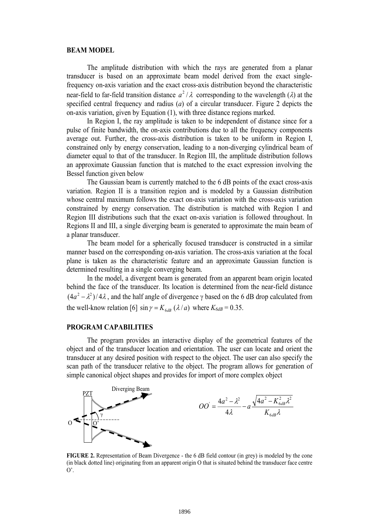### **BEAM MODEL**

The amplitude distribution with which the rays are generated from a planar transducer is based on an approximate beam model derived from the exact singlefrequency on-axis variation and the exact cross-axis distribution beyond the characteristic near-field to far-field transition distance  $a^2/\lambda$  corresponding to the wavelength ( $\lambda$ ) at the specified central frequency and radius (*a*) of a circular transducer. Figure 2 depicts the on-axis variation, given by Equation (1), with three distance regions marked.

In Region I, the ray amplitude is taken to be independent of distance since for a pulse of finite bandwidth, the on-axis contributions due to all the frequency components average out. Further, the cross-axis distribution is taken to be uniform in Region I, constrained only by energy conservation, leading to a non-diverging cylindrical beam of diameter equal to that of the transducer. In Region III, the amplitude distribution follows an approximate Gaussian function that is matched to the exact expression involving the Bessel function given below

The Gaussian beam is currently matched to the 6 dB points of the exact cross-axis variation. Region II is a transition region and is modeled by a Gaussian distribution whose central maximum follows the exact on-axis variation with the cross-axis variation constrained by energy conservation. The distribution is matched with Region I and Region III distributions such that the exact on-axis variation is followed throughout. In Regions II and III, a single diverging beam is generated to approximate the main beam of a planar transducer.

The beam model for a spherically focused transducer is constructed in a similar manner based on the corresponding on-axis variation. The cross-axis variation at the focal plane is taken as the characteristic feature and an approximate Gaussian function is determined resulting in a single converging beam.

In the model, a divergent beam is generated from an apparent beam origin located behind the face of the transducer. Its location is determined from the near-field distance  $(4a<sup>2</sup> – \lambda<sup>2</sup>)/4\lambda$ , and the half angle of divergence γ based on the 6 dB drop calculated from the well-know relation [6]  $\sin \gamma = K_{6dB} (\lambda/a)$  where  $K_{6dB} = 0.35$ .

#### **PROGRAM CAPABILITIES**

The program provides an interactive display of the geometrical features of the object and of the transducer location and orientation. The user can locate and orient the transducer at any desired position with respect to the object. The user can also specify the scan path of the transducer relative to the object. The program allows for generation of simple canonical object shapes and provides for import of more complex object



**FIGURE 2.** Representation of Beam Divergence - the 6 dB field contour (in grey) is modeled by the cone (in black dotted line) originating from an apparent origin O that is situated behind the transducer face centre O'.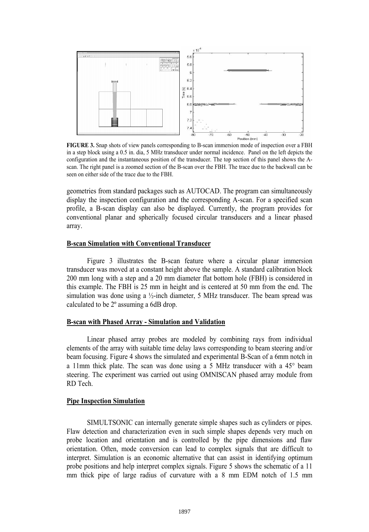

**FIGURE 3.** Snap shots of view panels corresponding to B-scan immersion mode of inspection over a FBH in a step block using a 0.5 in. dia, 5 MHz transducer under normal incidence. Panel on the left depicts the configuration and the instantaneous position of the transducer. The top section of this panel shows the Ascan. The right panel is a zoomed section of the B-scan over the FBH. The trace due to the backwall can be seen on either side of the trace due to the FBH.

geometries from standard packages such as AUTOCAD. The program can simultaneously display the inspection configuration and the corresponding A-scan. For a specified scan profile, a B-scan display can also be displayed. Currently, the program provides for conventional planar and spherically focused circular transducers and a linear phased array.

## **B-scan Simulation with Conventional Transducer**

Figure 3 illustrates the B-scan feature where a circular planar immersion transducer was moved at a constant height above the sample. A standard calibration block 200 mm long with a step and a 20 mm diameter flat bottom hole (FBH) is considered in this example. The FBH is 25 mm in height and is centered at 50 mm from the end. The simulation was done using a  $\frac{1}{2}$ -inch diameter, 5 MHz transducer. The beam spread was calculated to be 2º assuming a 6dB drop.

## **B-scan with Phased Array - Simulation and Validation**

Linear phased array probes are modeled by combining rays from individual elements of the array with suitable time delay laws corresponding to beam steering and/or beam focusing. Figure 4 shows the simulated and experimental B-Scan of a 6mm notch in a 11mm thick plate. The scan was done using a 5 MHz transducer with a 45° beam steering. The experiment was carried out using OMNISCAN phased array module from RD Tech.

## **Pipe Inspection Simulation**

SIMULTSONIC can internally generate simple shapes such as cylinders or pipes. Flaw detection and characterization even in such simple shapes depends very much on probe location and orientation and is controlled by the pipe dimensions and flaw orientation. Often, mode conversion can lead to complex signals that are difficult to interpret. Simulation is an economic alternative that can assist in identifying optimum probe positions and help interpret complex signals. Figure 5 shows the schematic of a 11 mm thick pipe of large radius of curvature with a 8 mm EDM notch of 1.5 mm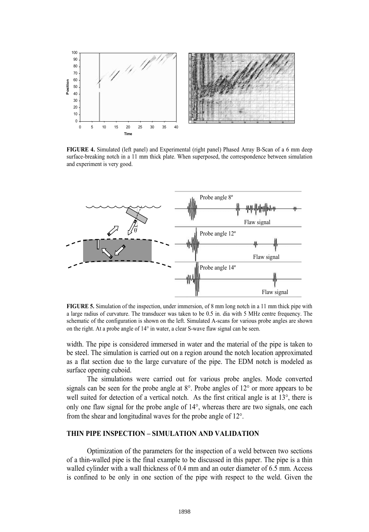

**FIGURE 4.** Simulated (left panel) and Experimental (right panel) Phased Array B-Scan of a 6 mm deep surface-breaking notch in a 11 mm thick plate. When superposed, the correspondence between simulation and experiment is very good.



**FIGURE 5.** Simulation of the inspection, under immersion, of 8 mm long notch in a 11 mm thick pipe with a large radius of curvature. The transducer was taken to be 0.5 in. dia with 5 MHz centre frequency. The schematic of the configuration is shown on the left. Simulated A-scans for various probe angles are shown on the right. At a probe angle of 14° in water, a clear S-wave flaw signal can be seen.

width. The pipe is considered immersed in water and the material of the pipe is taken to be steel. The simulation is carried out on a region around the notch location approximated as a flat section due to the large curvature of the pipe. The EDM notch is modeled as surface opening cuboid.

 The simulations were carried out for various probe angles. Mode converted signals can be seen for the probe angle at 8°. Probe angles of 12° or more appears to be well suited for detection of a vertical notch. As the first critical angle is at 13<sup>°</sup>, there is only one flaw signal for the probe angle of 14°, whereas there are two signals, one each from the shear and longitudinal waves for the probe angle of 12°.

# **THIN PIPE INSPECTION – SIMULATION AND VALIDATION**

Optimization of the parameters for the inspection of a weld between two sections of a thin-walled pipe is the final example to be discussed in this paper. The pipe is a thin walled cylinder with a wall thickness of 0.4 mm and an outer diameter of 6.5 mm. Access is confined to be only in one section of the pipe with respect to the weld. Given the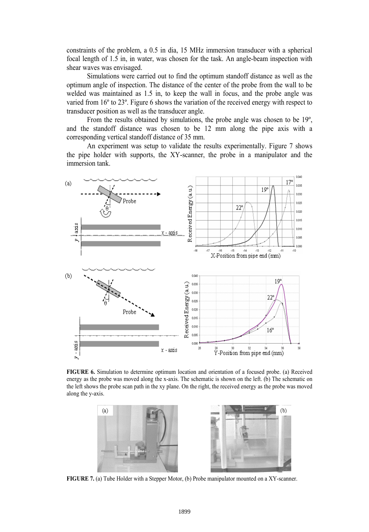constraints of the problem, a 0.5 in dia, 15 MHz immersion transducer with a spherical focal length of 1.5 in, in water, was chosen for the task. An angle-beam inspection with shear waves was envisaged.

Simulations were carried out to find the optimum standoff distance as well as the optimum angle of inspection. The distance of the center of the probe from the wall to be welded was maintained as 1.5 in, to keep the wall in focus, and the probe angle was varied from 16º to 23º. Figure 6 shows the variation of the received energy with respect to transducer position as well as the transducer angle.

From the results obtained by simulations, the probe angle was chosen to be 19º, and the standoff distance was chosen to be 12 mm along the pipe axis with a corresponding vertical standoff distance of 35 mm.

An experiment was setup to validate the results experimentally. Figure 7 shows the pipe holder with supports, the XY-scanner, the probe in a manipulator and the immersion tank.



**FIGURE 6.** Simulation to determine optimum location and orientation of a focused probe. (a) Received energy as the probe was moved along the x-axis. The schematic is shown on the left. (b) The schematic on the left shows the probe scan path in the xy plane. On the right, the received energy as the probe was moved along the y-axis.



**FIGURE 7.** (a) Tube Holder with a Stepper Motor, (b) Probe manipulator mounted on a XY-scanner.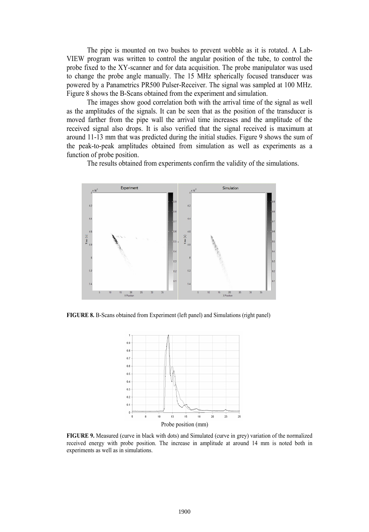The pipe is mounted on two bushes to prevent wobble as it is rotated. A Lab-VIEW program was written to control the angular position of the tube, to control the probe fixed to the XY-scanner and for data acquisition. The probe manipulator was used to change the probe angle manually. The 15 MHz spherically focused transducer was powered by a Panametrics PR500 Pulser-Receiver. The signal was sampled at 100 MHz. Figure 8 shows the B-Scans obtained from the experiment and simulation.

The images show good correlation both with the arrival time of the signal as well as the amplitudes of the signals. It can be seen that as the position of the transducer is moved farther from the pipe wall the arrival time increases and the amplitude of the received signal also drops. It is also verified that the signal received is maximum at around 11-13 mm that was predicted during the initial studies. Figure 9 shows the sum of the peak-to-peak amplitudes obtained from simulation as well as experiments as a function of probe position.

The results obtained from experiments confirm the validity of the simulations.



**FIGURE 8.** B-Scans obtained from Experiment (left panel) and Simulations (right panel)



**FIGURE 9.** Measured (curve in black with dots) and Simulated (curve in grey) variation of the normalized received energy with probe position. The increase in amplitude at around 14 mm is noted both in experiments as well as in simulations.